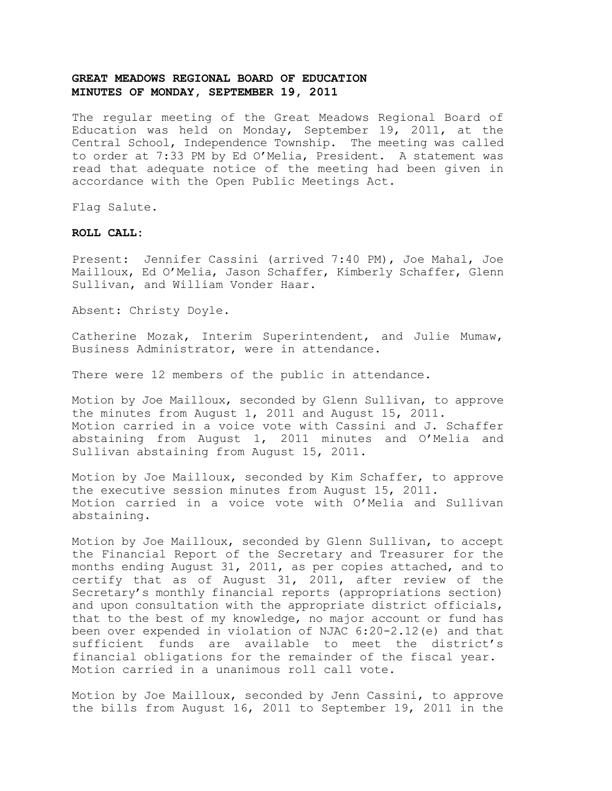The regular meeting of the Great Meadows Regional Board of Education was held on Monday, September 19, 2011, at the Central School, Independence Township. The meeting was called to order at 7:33 PM by Ed O'Melia, President. A statement was read that adequate notice of the meeting had been given in accordance with the Open Public Meetings Act.

Flag Salute.

### **ROLL CALL:**

Present: Jennifer Cassini (arrived 7:40 PM), Joe Mahal, Joe Mailloux, Ed O'Melia, Jason Schaffer, Kimberly Schaffer, Glenn Sullivan, and William Vonder Haar.

Absent: Christy Doyle.

Catherine Mozak, Interim Superintendent, and Julie Mumaw, Business Administrator, were in attendance.

There were 12 members of the public in attendance.

Motion by Joe Mailloux, seconded by Glenn Sullivan, to approve the minutes from August 1, 2011 and August 15, 2011. Motion carried in a voice vote with Cassini and J. Schaffer abstaining from August 1, 2011 minutes and O'Melia and Sullivan abstaining from August 15, 2011.

Motion by Joe Mailloux, seconded by Kim Schaffer, to approve the executive session minutes from August 15, 2011. Motion carried in a voice vote with O'Melia and Sullivan abstaining.

Motion by Joe Mailloux, seconded by Glenn Sullivan, to accept the Financial Report of the Secretary and Treasurer for the months ending August 31, 2011, as per copies attached, and to certify that as of August 31, 2011, after review of the Secretary's monthly financial reports (appropriations section) and upon consultation with the appropriate district officials, that to the best of my knowledge, no major account or fund has been over expended in violation of NJAC 6:20-2.12(e) and that sufficient funds are available to meet the district's financial obligations for the remainder of the fiscal year. Motion carried in a unanimous roll call vote.

Motion by Joe Mailloux, seconded by Jenn Cassini, to approve the bills from August 16, 2011 to September 19, 2011 in the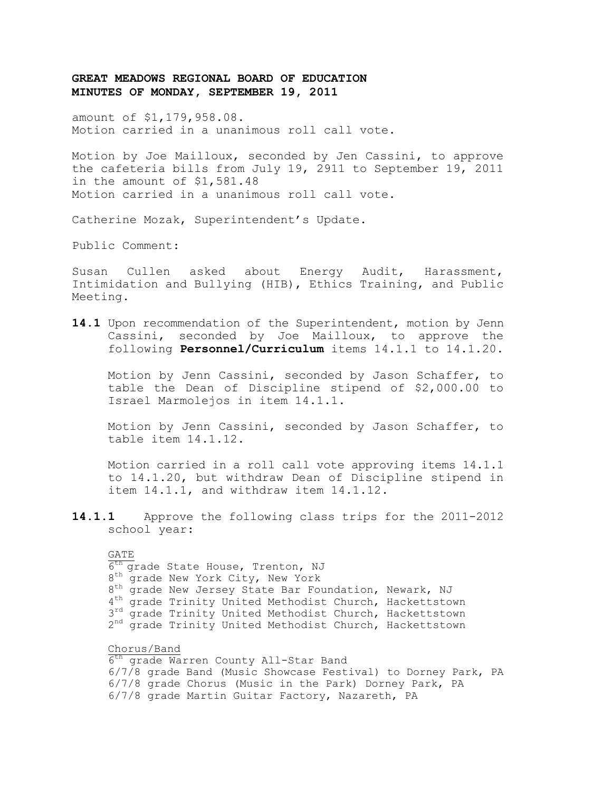amount of \$1,179,958.08. Motion carried in a unanimous roll call vote.

Motion by Joe Mailloux, seconded by Jen Cassini, to approve the cafeteria bills from July 19, 2911 to September 19, 2011 in the amount of \$1,581.48 Motion carried in a unanimous roll call vote.

Catherine Mozak, Superintendent's Update.

Public Comment:

Susan Cullen asked about Energy Audit, Harassment, Intimidation and Bullying (HIB), Ethics Training, and Public Meeting.

**14.1** Upon recommendation of the Superintendent, motion by Jenn Cassini, seconded by Joe Mailloux, to approve the following **Personnel/Curriculum** items 14.1.1 to 14.1.20.

Motion by Jenn Cassini, seconded by Jason Schaffer, to table the Dean of Discipline stipend of \$2,000.00 to Israel Marmolejos in item 14.1.1.

Motion by Jenn Cassini, seconded by Jason Schaffer, to table item 14.1.12.

Motion carried in a roll call vote approving items 14.1.1 to 14.1.20, but withdraw Dean of Discipline stipend in item 14.1.1, and withdraw item 14.1.12.

**14.1.1** Approve the following class trips for the 2011-2012 school year:

#### GATE

 $\overline{6^{th}}$  grade State House, Trenton, NJ 8<sup>th</sup> grade New York City, New York 8<sup>th</sup> grade New Jersey State Bar Foundation, Newark, NJ 4<sup>th</sup> grade Trinity United Methodist Church, Hackettstown 3<sup>rd</sup> grade Trinity United Methodist Church, Hackettstown 2<sup>nd</sup> grade Trinity United Methodist Church, Hackettstown

### Chorus/Band

6<sup>th</sup> grade Warren County All-Star Band 6/7/8 grade Band (Music Showcase Festival) to Dorney Park, PA 6/7/8 grade Chorus (Music in the Park) Dorney Park, PA 6/7/8 grade Martin Guitar Factory, Nazareth, PA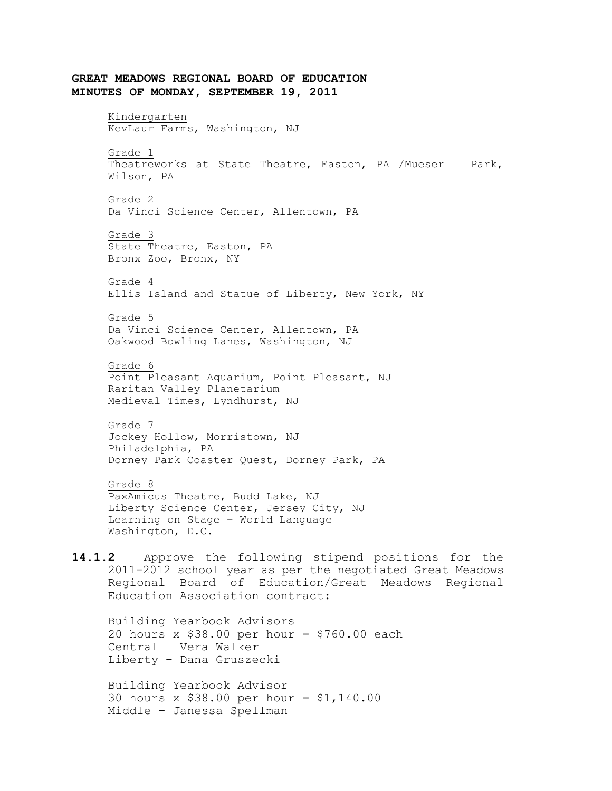**GREAT MEADOWS REGIONAL BOARD OF EDUCATION MINUTES OF MONDAY, SEPTEMBER 19, 2011** Kindergarten KevLaur Farms, Washington, NJ Grade 1 Theatreworks at State Theatre, Easton, PA /Mueser Park, Wilson, PA Grade 2 Da Vinci Science Center, Allentown, PA Grade 3 State Theatre, Easton, PA Bronx Zoo, Bronx, NY Grade 4 Ellis Island and Statue of Liberty, New York, NY Grade 5 Da Vinci Science Center, Allentown, PA Oakwood Bowling Lanes, Washington, NJ Grade 6 Point Pleasant Aquarium, Point Pleasant, NJ Raritan Valley Planetarium Medieval Times, Lyndhurst, NJ Grade 7 Jockey Hollow, Morristown, NJ Philadelphia, PA Dorney Park Coaster Quest, Dorney Park, PA Grade 8 PaxAmicus Theatre, Budd Lake, NJ Liberty Science Center, Jersey City, NJ Learning on Stage – World Language Washington, D.C. **14.1.2** Approve the following stipend positions for the 2011-2012 school year as per the negotiated Great Meadows Regional Board of Education/Great Meadows Regional Education Association contract: Building Yearbook Advisors 20 hours x  $$38.00$  per hour = \$760.00 each Central – Vera Walker Liberty – Dana Gruszecki Building Yearbook Advisor 30 hours x \$38.00 per hour = \$1,140.00 Middle – Janessa Spellman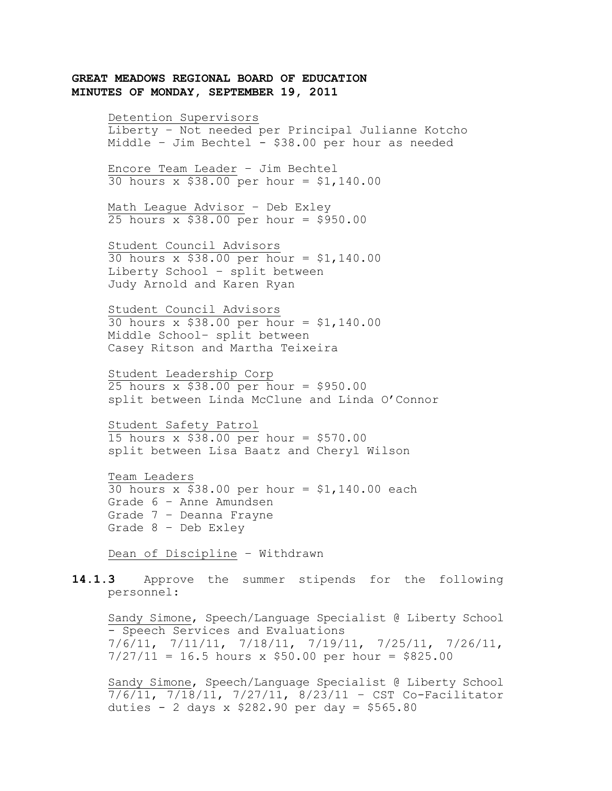#### Detention Supervisors

Liberty – Not needed per Principal Julianne Kotcho Middle – Jim Bechtel - \$38.00 per hour as needed

Encore Team Leader – Jim Bechtel 30 hours x \$38.00 per hour = \$1,140.00

Math League Advisor – Deb Exley 25 hours x  $$38.00$  per hour =  $$950.00$ 

Student Council Advisors 30 hours x \$38.00 per hour = \$1,140.00 Liberty School – split between Judy Arnold and Karen Ryan

Student Council Advisors  $30$  hours x  $$38.00$  per hour =  $$1,140.00$ Middle School– split between Casey Ritson and Martha Teixeira

Student Leadership Corp 25 hours x \$38.00 per hour = \$950.00 split between Linda McClune and Linda O'Connor

Student Safety Patrol 15 hours x \$38.00 per hour = \$570.00 split between Lisa Baatz and Cheryl Wilson

Team Leaders  $30$  hours x  $$38.00$  per hour = \$1,140.00 each Grade 6 – Anne Amundsen Grade 7 – Deanna Frayne Grade 8 – Deb Exley

Dean of Discipline – Withdrawn

**14.1.3** Approve the summer stipends for the following personnel:

Sandy Simone, Speech/Language Specialist @ Liberty School - Speech Services and Evaluations 7/6/11, 7/11/11, 7/18/11, 7/19/11, 7/25/11, 7/26/11,  $7/27/11 = 16.5$  hours x \$50.00 per hour = \$825.00

Sandy Simone, Speech/Language Specialist @ Liberty School 7/6/11, 7/18/11, 7/27/11, 8/23/11 – CST Co-Facilitator duties - 2 days x \$282.90 per day = \$565.80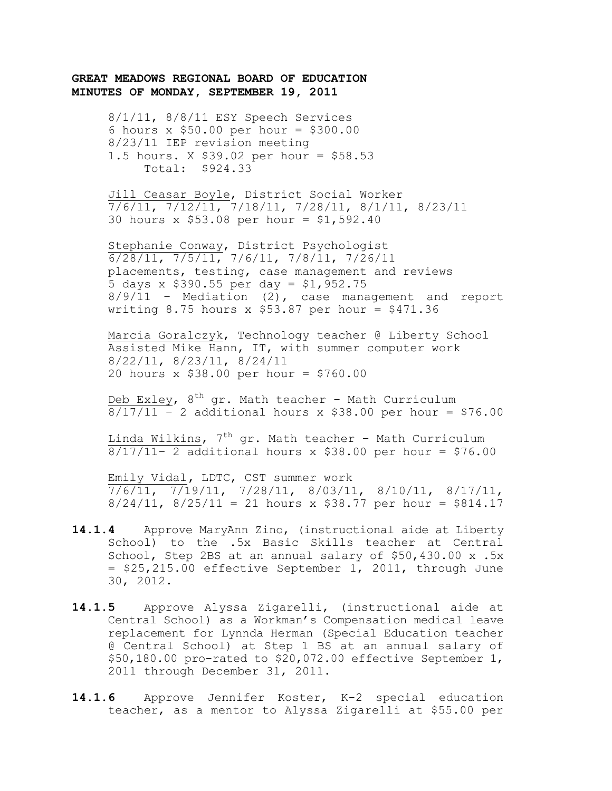8/1/11, 8/8/11 ESY Speech Services 6 hours x \$50.00 per hour = \$300.00 8/23/11 IEP revision meeting 1.5 hours. X \$39.02 per hour = \$58.53 Total: \$924.33

Jill Ceasar Boyle, District Social Worker 7/6/11, 7/12/11, 7/18/11, 7/28/11, 8/1/11, 8/23/11 30 hours x \$53.08 per hour = \$1,592.40

Stephanie Conway, District Psychologist 6/28/11, 7/5/11, 7/6/11, 7/8/11, 7/26/11 placements, testing, case management and reviews 5 days x \$390.55 per day = \$1,952.75  $8/9/11$  – Mediation (2), case management and report writing 8.75 hours x \$53.87 per hour =  $$471.36$ 

Marcia Goralczyk, Technology teacher @ Liberty School Assisted Mike Hann, IT, with summer computer work 8/22/11, 8/23/11, 8/24/11 20 hours x \$38.00 per hour = \$760.00

Deb Exley, 8<sup>th</sup> gr. Math teacher - Math Curriculum  $8/17/11 - 2$  additional hours x \$38.00 per hour = \$76.00

Linda Wilkins,  $7^{th}$  gr. Math teacher - Math Curriculum  $8/17/11-$  2 additional hours x \$38.00 per hour = \$76.00

Emily Vidal**,** LDTC, CST summer work  $\frac{1}{7/6/11}$ ,  $\frac{7}{19/11}$ ,  $\frac{7}{28/11}$ ,  $\frac{8}{03/11}$ ,  $\frac{8}{10/11}$ ,  $\frac{8}{17/11}$  $8/24/11$ ,  $8/25/11 = 21$  hours x \$38.77 per hour = \$814.17

- **14.1.4** Approve MaryAnn Zino, (instructional aide at Liberty School) to the .5x Basic Skills teacher at Central School, Step 2BS at an annual salary of \$50,430.00 x .5x = \$25,215.00 effective September 1, 2011, through June 30, 2012.
- **14.1.5** Approve Alyssa Zigarelli, (instructional aide at Central School) as a Workman's Compensation medical leave replacement for Lynnda Herman (Special Education teacher @ Central School) at Step 1 BS at an annual salary of \$50,180.00 pro-rated to \$20,072.00 effective September 1, 2011 through December 31, 2011.
- **14.1.6** Approve Jennifer Koster, K-2 special education teacher, as a mentor to Alyssa Zigarelli at \$55.00 per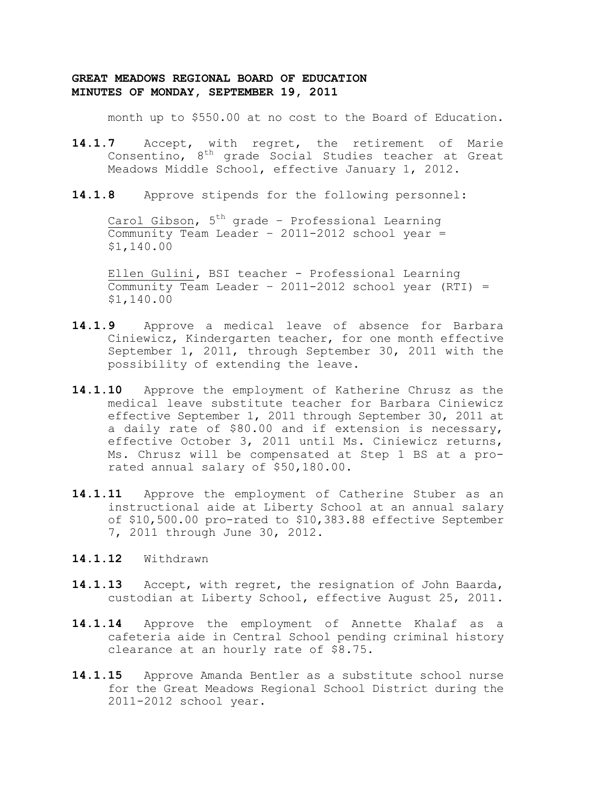month up to \$550.00 at no cost to the Board of Education.

- **14.1.7** Accept, with regret, the retirement of Marie Consentino, 8th grade Social Studies teacher at Great Meadows Middle School, effective January 1, 2012.
- **14.1.8** Approve stipends for the following personnel:

Carol Gibson,  $5<sup>th</sup>$  grade - Professional Learning Community Team Leader – 2011-2012 school year = \$1,140.00

Ellen Gulini**,** BSI teacher - Professional Learning Community Team Leader – 2011-2012 school year (RTI) = \$1,140.00

- **14.1.9** Approve a medical leave of absence for Barbara Ciniewicz, Kindergarten teacher, for one month effective September 1, 2011, through September 30, 2011 with the possibility of extending the leave.
- **14.1.10** Approve the employment of Katherine Chrusz as the medical leave substitute teacher for Barbara Ciniewicz effective September 1, 2011 through September 30, 2011 at a daily rate of \$80.00 and if extension is necessary, effective October 3, 2011 until Ms. Ciniewicz returns, Ms. Chrusz will be compensated at Step 1 BS at a prorated annual salary of \$50,180.00.
- **14.1.11** Approve the employment of Catherine Stuber as an instructional aide at Liberty School at an annual salary of \$10,500.00 pro-rated to \$10,383.88 effective September 7, 2011 through June 30, 2012.
- **14.1.12** Withdrawn
- **14.1.13** Accept, with regret, the resignation of John Baarda, custodian at Liberty School, effective August 25, 2011.
- **14.1.14** Approve the employment of Annette Khalaf as a cafeteria aide in Central School pending criminal history clearance at an hourly rate of \$8.75.
- **14.1.15** Approve Amanda Bentler as a substitute school nurse for the Great Meadows Regional School District during the 2011-2012 school year.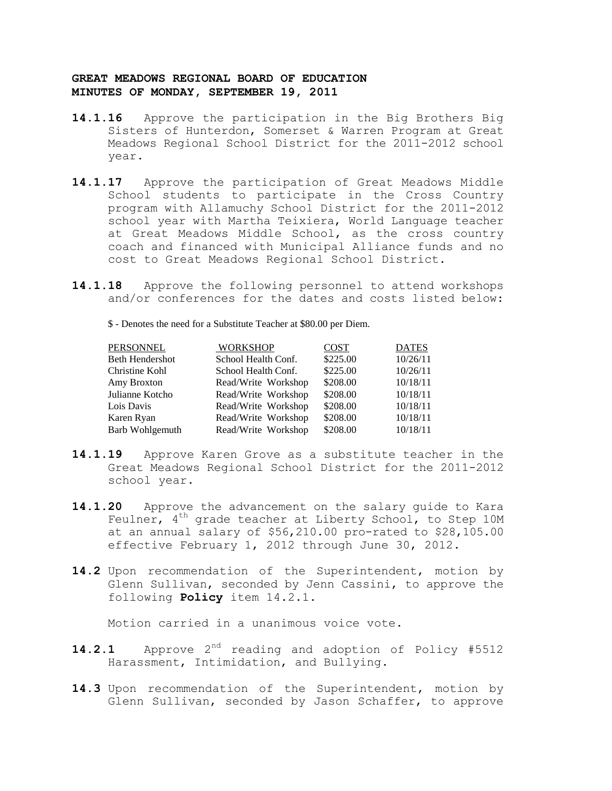- **14.1.16** Approve the participation in the Big Brothers Big Sisters of Hunterdon, Somerset & Warren Program at Great Meadows Regional School District for the 2011-2012 school year.
- **14.1.17** Approve the participation of Great Meadows Middle School students to participate in the Cross Country program with Allamuchy School District for the 2011-2012 school year with Martha Teixiera, World Language teacher at Great Meadows Middle School, as the cross country coach and financed with Municipal Alliance funds and no cost to Great Meadows Regional School District.
- **14.1.18** Approve the following personnel to attend workshops and/or conferences for the dates and costs listed below:

\$ - Denotes the need for a Substitute Teacher at \$80.00 per Diem.

| PERSONNEL              | <b>WORKSHOP</b>     | <b>COST</b> | <b>DATES</b> |
|------------------------|---------------------|-------------|--------------|
| Beth Hendershot        | School Health Conf. | \$225.00    | 10/26/11     |
| Christine Kohl         | School Health Conf. | \$225.00    | 10/26/11     |
| Amy Broxton            | Read/Write Workshop | \$208.00    | 10/18/11     |
| Julianne Kotcho        | Read/Write Workshop | \$208.00    | 10/18/11     |
| Lois Davis             | Read/Write Workshop | \$208.00    | 10/18/11     |
| Karen Ryan             | Read/Write Workshop | \$208.00    | 10/18/11     |
| <b>Barb Wohlgemuth</b> | Read/Write Workshop | \$208.00    | 10/18/11     |
|                        |                     |             |              |

- **14.1.19** Approve Karen Grove as a substitute teacher in the Great Meadows Regional School District for the 2011-2012 school year.
- **14.1.20** Approve the advancement on the salary guide to Kara Feulner,  $4<sup>th</sup>$  grade teacher at Liberty School, to Step 10M at an annual salary of \$56,210.00 pro-rated to \$28,105.00 effective February 1, 2012 through June 30, 2012.
- **14.2** Upon recommendation of the Superintendent, motion by Glenn Sullivan, seconded by Jenn Cassini, to approve the following **Policy** item 14.2.1.

Motion carried in a unanimous voice vote.

- 14.2.1 Approve 2<sup>nd</sup> reading and adoption of Policy #5512 Harassment, Intimidation, and Bullying.
- **14.3** Upon recommendation of the Superintendent, motion by Glenn Sullivan, seconded by Jason Schaffer, to approve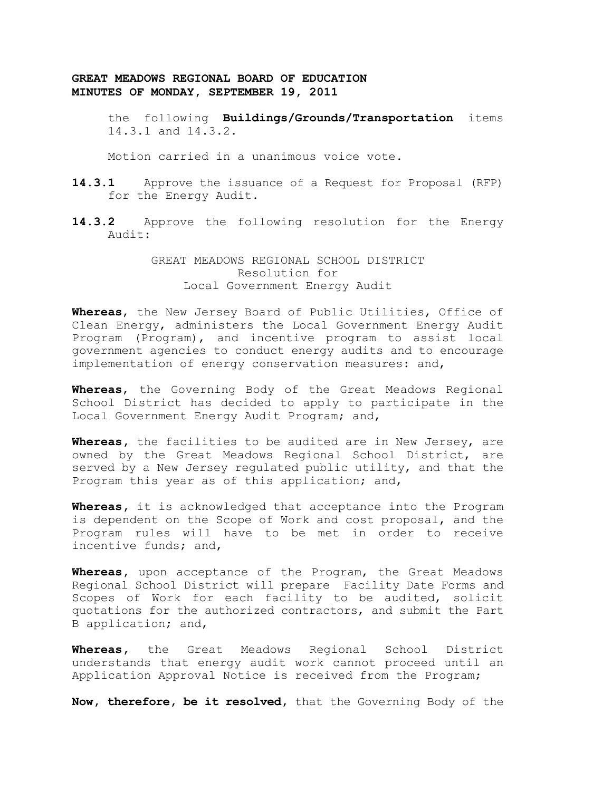> the following **Buildings/Grounds/Transportation** items 14.3.1 and 14.3.2.

Motion carried in a unanimous voice vote.

- **14.3.1** Approve the issuance of a Request for Proposal (RFP) for the Energy Audit.
- **14.3.2** Approve the following resolution for the Energy Audit:

GREAT MEADOWS REGIONAL SCHOOL DISTRICT Resolution for Local Government Energy Audit

**Whereas**, the New Jersey Board of Public Utilities, Office of Clean Energy, administers the Local Government Energy Audit Program (Program), and incentive program to assist local government agencies to conduct energy audits and to encourage implementation of energy conservation measures: and,

**Whereas**, the Governing Body of the Great Meadows Regional School District has decided to apply to participate in the Local Government Energy Audit Program; and,

**Whereas,** the facilities to be audited are in New Jersey, are owned by the Great Meadows Regional School District, are served by a New Jersey regulated public utility, and that the Program this year as of this application; and,

**Whereas,** it is acknowledged that acceptance into the Program is dependent on the Scope of Work and cost proposal, and the Program rules will have to be met in order to receive incentive funds; and,

**Whereas,** upon acceptance of the Program, the Great Meadows Regional School District will prepare Facility Date Forms and Scopes of Work for each facility to be audited, solicit quotations for the authorized contractors, and submit the Part B application; and,

**Whereas,** the Great Meadows Regional School District understands that energy audit work cannot proceed until an Application Approval Notice is received from the Program;

**Now, therefore, be it resolved,** that the Governing Body of the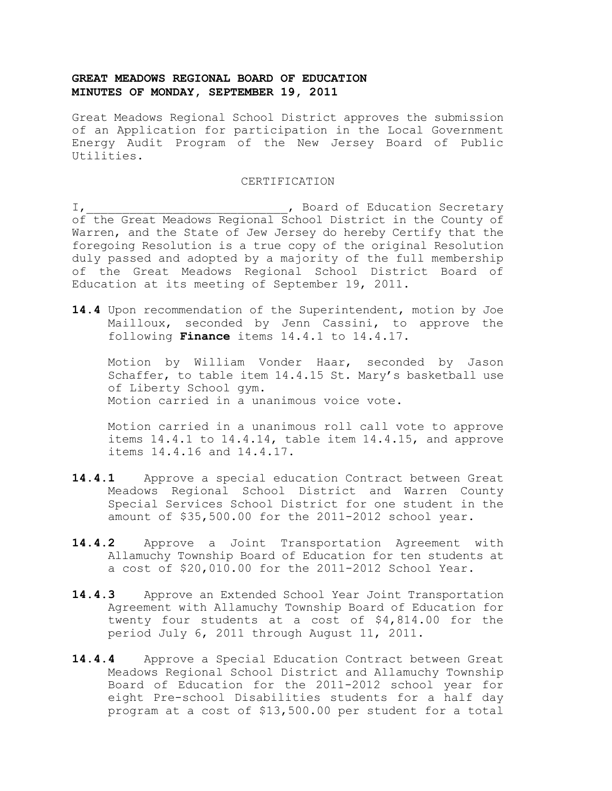Great Meadows Regional School District approves the submission of an Application for participation in the Local Government Energy Audit Program of the New Jersey Board of Public Utilities.

#### CERTIFICATION

I, the contract of Education Secretary contract of Education Secretary of the Great Meadows Regional School District in the County of Warren, and the State of Jew Jersey do hereby Certify that the foregoing Resolution is a true copy of the original Resolution duly passed and adopted by a majority of the full membership of the Great Meadows Regional School District Board of Education at its meeting of September 19, 2011.

**14.4** Upon recommendation of the Superintendent, motion by Joe Mailloux, seconded by Jenn Cassini, to approve the following **Finance** items 14.4.1 to 14.4.17.

Motion by William Vonder Haar, seconded by Jason Schaffer, to table item 14.4.15 St. Mary's basketball use of Liberty School gym. Motion carried in a unanimous voice vote.

Motion carried in a unanimous roll call vote to approve items 14.4.1 to 14.4.14, table item 14.4.15, and approve items 14.4.16 and 14.4.17.

- **14.4.1** Approve a special education Contract between Great Meadows Regional School District and Warren County Special Services School District for one student in the amount of \$35,500.00 for the 2011-2012 school year.
- **14.4.2** Approve a Joint Transportation Agreement with Allamuchy Township Board of Education for ten students at a cost of \$20,010.00 for the 2011-2012 School Year.
- **14.4.3** Approve an Extended School Year Joint Transportation Agreement with Allamuchy Township Board of Education for twenty four students at a cost of \$4,814.00 for the period July 6, 2011 through August 11, 2011.
- **14.4.4** Approve a Special Education Contract between Great Meadows Regional School District and Allamuchy Township Board of Education for the 2011-2012 school year for eight Pre-school Disabilities students for a half day program at a cost of \$13,500.00 per student for a total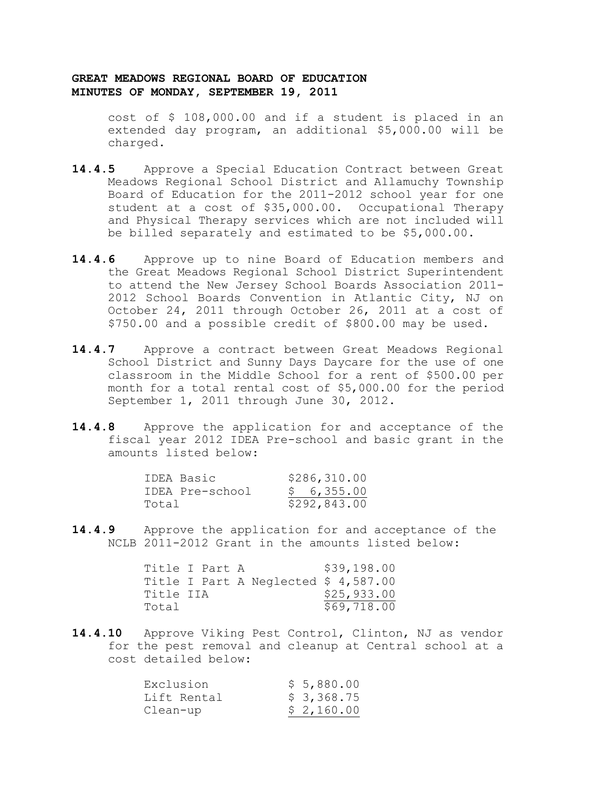cost of \$ 108,000.00 and if a student is placed in an extended day program, an additional \$5,000.00 will be charged.

- **14.4.5** Approve a Special Education Contract between Great Meadows Regional School District and Allamuchy Township Board of Education for the 2011-2012 school year for one student at a cost of \$35,000.00. Occupational Therapy and Physical Therapy services which are not included will be billed separately and estimated to be \$5,000.00.
- **14.4.6** Approve up to nine Board of Education members and the Great Meadows Regional School District Superintendent to attend the New Jersey School Boards Association 2011- 2012 School Boards Convention in Atlantic City, NJ on October 24, 2011 through October 26, 2011 at a cost of \$750.00 and a possible credit of \$800.00 may be used.
- **14.4.7** Approve a contract between Great Meadows Regional School District and Sunny Days Daycare for the use of one classroom in the Middle School for a rent of \$500.00 per month for a total rental cost of \$5,000.00 for the period September 1, 2011 through June 30, 2012.
- **14.4.8** Approve the application for and acceptance of the fiscal year 2012 IDEA Pre-school and basic grant in the amounts listed below:

|       | IDEA Basic      |  | \$286,310.00 |  |
|-------|-----------------|--|--------------|--|
|       | IDEA Pre-school |  | \$6,355.00   |  |
| Total |                 |  | \$292,843.00 |  |

**14.4.9** Approve the application for and acceptance of the NCLB 2011-2012 Grant in the amounts listed below:

|           | Title I Part A |                                      | \$39,198.00 |
|-----------|----------------|--------------------------------------|-------------|
|           |                | Title I Part A Neglected $$4,587.00$ |             |
| Title IIA |                |                                      | \$25,933.00 |
| Total     |                |                                      | \$69,718.00 |

**14.4.10** Approve Viking Pest Control, Clinton, NJ as vendor for the pest removal and cleanup at Central school at a cost detailed below:

| Exclusion   | \$5,880.00 |
|-------------|------------|
| Lift Rental | \$3,368.75 |
| Clean-up    | \$2,160.00 |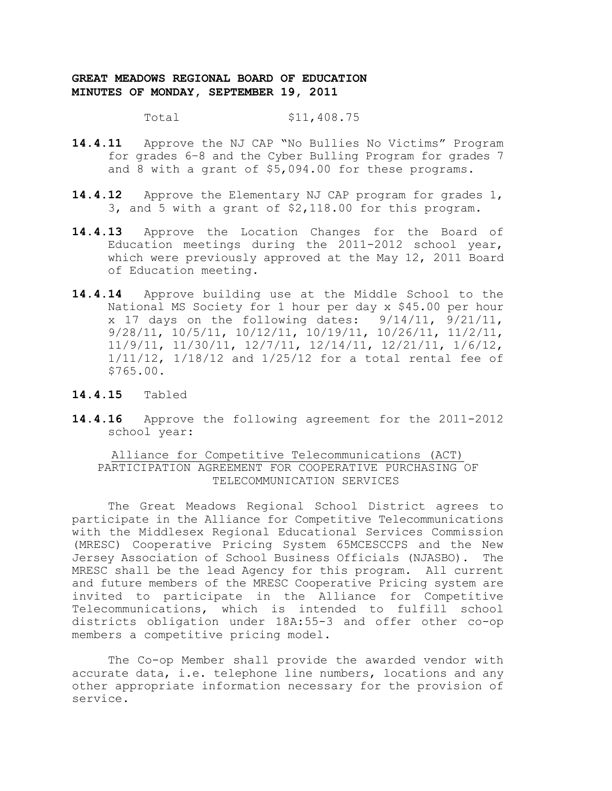Total \$11,408.75

- **14.4.11** Approve the NJ CAP "No Bullies No Victims" Program for grades 6–8 and the Cyber Bulling Program for grades 7 and 8 with a grant of \$5,094.00 for these programs.
- **14.4.12** Approve the Elementary NJ CAP program for grades 1, 3, and 5 with a grant of \$2,118.00 for this program.
- **14.4.13** Approve the Location Changes for the Board of Education meetings during the 2011-2012 school year, which were previously approved at the May 12, 2011 Board of Education meeting.
- **14.4.14** Approve building use at the Middle School to the National MS Society for 1 hour per day x \$45.00 per hour x 17 days on the following dates: 9/14/11, 9/21/11, 9/28/11, 10/5/11, 10/12/11, 10/19/11, 10/26/11, 11/2/11, 11/9/11, 11/30/11, 12/7/11, 12/14/11, 12/21/11, 1/6/12, 1/11/12, 1/18/12 and 1/25/12 for a total rental fee of \$765.00.
- **14.4.15** Tabled
- **14.4.16** Approve the following agreement for the 2011-2012 school year:

Alliance for Competitive Telecommunications (ACT) PARTICIPATION AGREEMENT FOR COOPERATIVE PURCHASING OF TELECOMMUNICATION SERVICES

The Great Meadows Regional School District agrees to participate in the Alliance for Competitive Telecommunications with the Middlesex Regional Educational Services Commission (MRESC) Cooperative Pricing System 65MCESCCPS and the New Jersey Association of School Business Officials (NJASBO). The MRESC shall be the lead Agency for this program. All current and future members of the MRESC Cooperative Pricing system are invited to participate in the Alliance for Competitive Telecommunications, which is intended to fulfill school districts obligation under 18A:55-3 and offer other co-op members a competitive pricing model.

The Co-op Member shall provide the awarded vendor with accurate data, i.e. telephone line numbers, locations and any other appropriate information necessary for the provision of service.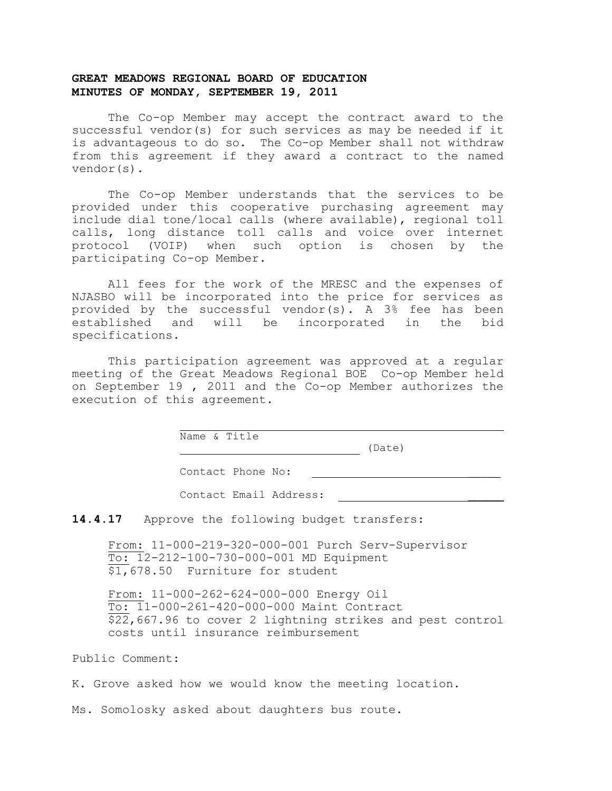The Co-op Member may accept the contract award to the successful vendor(s) for such services as may be needed if it is advantageous to do so. The Co-op Member shall not withdraw from this agreement if they award a contract to the named vendor(s).

The Co-op Member understands that the services to be provided under this cooperative purchasing agreement may include dial tone/local calls (where available), regional toll calls, long distance toll calls and voice over internet protocol (VOIP) when such option is chosen by the participating Co-op Member.

All fees for the work of the MRESC and the expenses of NJASBO will be incorporated into the price for services as provided by the successful vendor(s). A 3% fee has been established and will be incorporated in the bid specifications.

This participation agreement was approved at a regular meeting of the Great Meadows Regional BOE Co-op Member held on September 19 , 2011 and the Co-op Member authorizes the execution of this agreement.

Name & Title

(Date)

Contact Phone No:

Contact Email Address:

14.4.17 Approve the following budget transfers:

From: 11-000-219-320-000-001 Purch Serv-Supervisor To: 12-212-100-730-000-001 MD Equipment \$1,678.50 Furniture for student

From: 11-000-262-624-000-000 Energy Oil To: 11-000-261-420-000-000 Maint Contract \$22,667.96 to cover 2 lightning strikes and pest control costs until insurance reimbursement

Public Comment:

K. Grove asked how we would know the meeting location.

Ms. Somolosky asked about daughters bus route.